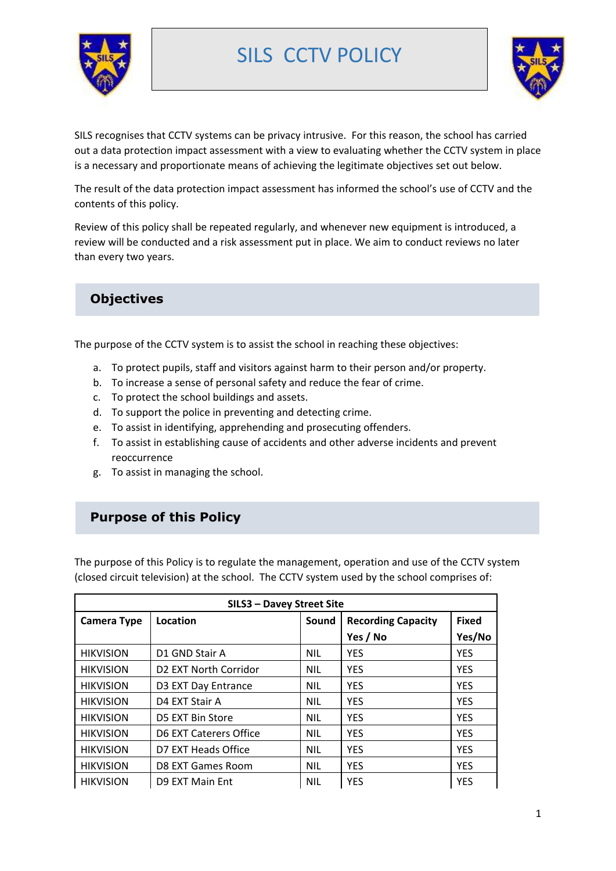

# SILS CCTV POLICY



SILS recognises that CCTV systems can be privacy intrusive. For this reason, the school has carried out a data protection impact assessment with a view to evaluating whether the CCTV system in place is a necessary and proportionate means of achieving the legitimate objectives set out below.

The result of the data protection impact assessment has informed the school's use of CCTV and the contents of this policy.

Review of this policy shall be repeated regularly, and whenever new equipment is introduced, a review will be conducted and a risk assessment put in place. We aim to conduct reviews no later than every two years.

# **Objectives**

The purpose of the CCTV system is to assist the school in reaching these objectives:

- a. To protect pupils, staff and visitors against harm to their person and/or property.
- b. To increase a sense of personal safety and reduce the fear of crime.
- c. To protect the school buildings and assets.
- d. To support the police in preventing and detecting crime.
- e. To assist in identifying, apprehending and prosecuting offenders.
- f. To assist in establishing cause of accidents and other adverse incidents and prevent reoccurrence
- g. To assist in managing the school.

# **Purpose of this Policy**

The purpose of this Policy is to regulate the management, operation and use of the CCTV system (closed circuit television) at the school. The CCTV system used by the school comprises of:

| <b>SILS3 - Davey Street Site</b> |                                   |            |                           |              |
|----------------------------------|-----------------------------------|------------|---------------------------|--------------|
| <b>Camera Type</b>               | Location                          | Sound      | <b>Recording Capacity</b> | <b>Fixed</b> |
|                                  |                                   |            | Yes / No                  | Yes/No       |
| <b>HIKVISION</b>                 | D1 GND Stair A                    | <b>NIL</b> | <b>YES</b>                | <b>YES</b>   |
| <b>HIKVISION</b>                 | D <sub>2</sub> EXT North Corridor | <b>NIL</b> | <b>YES</b>                | <b>YES</b>   |
| <b>HIKVISION</b>                 | D3 EXT Day Entrance               | <b>NIL</b> | <b>YES</b>                | <b>YES</b>   |
| <b>HIKVISION</b>                 | D4 EXT Stair A                    | <b>NIL</b> | <b>YES</b>                | <b>YES</b>   |
| <b>HIKVISION</b>                 | D5 EXT Bin Store                  | <b>NIL</b> | <b>YES</b>                | <b>YES</b>   |
| <b>HIKVISION</b>                 | D6 EXT Caterers Office            | <b>NIL</b> | <b>YES</b>                | <b>YES</b>   |
| <b>HIKVISION</b>                 | D7 EXT Heads Office               | <b>NIL</b> | <b>YES</b>                | <b>YES</b>   |
| <b>HIKVISION</b>                 | D8 EXT Games Room                 | <b>NIL</b> | <b>YES</b>                | <b>YES</b>   |
| <b>HIKVISION</b>                 | D9 EXT Main Ent                   | <b>NIL</b> | <b>YES</b>                | <b>YES</b>   |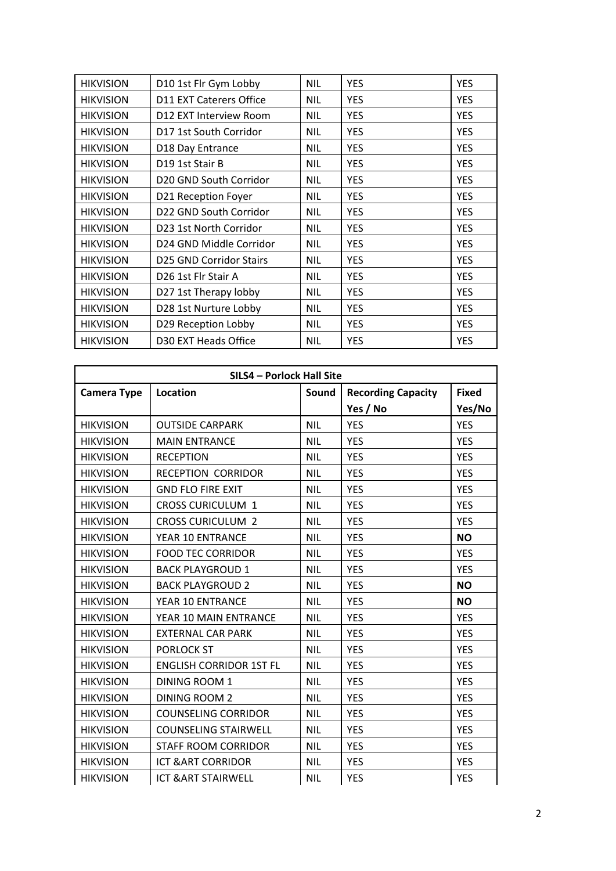| <b>HIKVISION</b> | D10 1st Flr Gym Lobby           | <b>NIL</b> | <b>YES</b> | <b>YES</b> |
|------------------|---------------------------------|------------|------------|------------|
| <b>HIKVISION</b> | D11 EXT Caterers Office         | <b>NIL</b> | <b>YES</b> | <b>YES</b> |
| <b>HIKVISION</b> | D12 EXT Interview Room          | <b>NIL</b> | <b>YES</b> | <b>YES</b> |
| <b>HIKVISION</b> | D17 1st South Corridor          | <b>NIL</b> | <b>YES</b> | <b>YES</b> |
| <b>HIKVISION</b> | D18 Day Entrance                | <b>NIL</b> | <b>YES</b> | <b>YES</b> |
| <b>HIKVISION</b> | D19 1st Stair B                 | <b>NIL</b> | <b>YES</b> | <b>YES</b> |
| <b>HIKVISION</b> | D20 GND South Corridor          | <b>NIL</b> | <b>YES</b> | <b>YES</b> |
| <b>HIKVISION</b> | D21 Reception Foyer             | <b>NIL</b> | <b>YES</b> | <b>YES</b> |
| <b>HIKVISION</b> | D22 GND South Corridor          | <b>NIL</b> | <b>YES</b> | <b>YES</b> |
| <b>HIKVISION</b> | D23 1st North Corridor          | <b>NIL</b> | <b>YES</b> | <b>YES</b> |
| <b>HIKVISION</b> | D24 GND Middle Corridor         | <b>NIL</b> | <b>YES</b> | <b>YES</b> |
| <b>HIKVISION</b> | <b>D25 GND Corridor Stairs</b>  | <b>NIL</b> | <b>YES</b> | <b>YES</b> |
| <b>HIKVISION</b> | D <sub>26</sub> 1st Flr Stair A | <b>NIL</b> | <b>YES</b> | <b>YES</b> |
| <b>HIKVISION</b> | D27 1st Therapy lobby           | <b>NIL</b> | <b>YES</b> | <b>YES</b> |
| <b>HIKVISION</b> | D28 1st Nurture Lobby           | <b>NIL</b> | <b>YES</b> | <b>YES</b> |
| <b>HIKVISION</b> | D29 Reception Lobby             | <b>NIL</b> | <b>YES</b> | <b>YES</b> |
| <b>HIKVISION</b> | D30 EXT Heads Office            | <b>NIL</b> | <b>YES</b> | <b>YES</b> |

| SILS4 - Porlock Hall Site |                                |            |                           |              |
|---------------------------|--------------------------------|------------|---------------------------|--------------|
| <b>Camera Type</b>        | <b>Location</b>                | Sound      | <b>Recording Capacity</b> | <b>Fixed</b> |
|                           |                                |            | Yes / No                  | Yes/No       |
| <b>HIKVISION</b>          | <b>OUTSIDE CARPARK</b>         | <b>NIL</b> | <b>YES</b>                | <b>YES</b>   |
| <b>HIKVISION</b>          | <b>MAIN ENTRANCE</b>           | <b>NIL</b> | <b>YES</b>                | <b>YES</b>   |
| <b>HIKVISION</b>          | <b>RECEPTION</b>               | <b>NIL</b> | <b>YES</b>                | <b>YES</b>   |
| <b>HIKVISION</b>          | <b>RECEPTION CORRIDOR</b>      | <b>NIL</b> | <b>YES</b>                | <b>YES</b>   |
| <b>HIKVISION</b>          | <b>GND FLO FIRE EXIT</b>       | <b>NIL</b> | <b>YES</b>                | <b>YES</b>   |
| <b>HIKVISION</b>          | <b>CROSS CURICULUM 1</b>       | <b>NIL</b> | <b>YES</b>                | <b>YES</b>   |
| <b>HIKVISION</b>          | <b>CROSS CURICULUM 2</b>       | <b>NIL</b> | <b>YES</b>                | <b>YES</b>   |
| <b>HIKVISION</b>          | YEAR 10 ENTRANCE               | <b>NIL</b> | <b>YES</b>                | <b>NO</b>    |
| <b>HIKVISION</b>          | <b>FOOD TEC CORRIDOR</b>       | <b>NIL</b> | <b>YES</b>                | <b>YES</b>   |
| <b>HIKVISION</b>          | <b>BACK PLAYGROUD 1</b>        | <b>NIL</b> | <b>YES</b>                | <b>YES</b>   |
| <b>HIKVISION</b>          | <b>BACK PLAYGROUD 2</b>        | <b>NIL</b> | <b>YES</b>                | <b>NO</b>    |
| <b>HIKVISION</b>          | YEAR 10 ENTRANCE               | <b>NIL</b> | <b>YES</b>                | <b>NO</b>    |
| <b>HIKVISION</b>          | YEAR 10 MAIN ENTRANCE          | <b>NIL</b> | <b>YES</b>                | <b>YES</b>   |
| <b>HIKVISION</b>          | <b>EXTERNAL CAR PARK</b>       | <b>NIL</b> | <b>YES</b>                | <b>YES</b>   |
| <b>HIKVISION</b>          | <b>PORLOCK ST</b>              | <b>NIL</b> | <b>YES</b>                | <b>YES</b>   |
| <b>HIKVISION</b>          | <b>ENGLISH CORRIDOR 1ST FL</b> | <b>NIL</b> | <b>YES</b>                | <b>YES</b>   |
| <b>HIKVISION</b>          | <b>DINING ROOM 1</b>           | <b>NIL</b> | <b>YES</b>                | <b>YES</b>   |
| <b>HIKVISION</b>          | <b>DINING ROOM 2</b>           | <b>NIL</b> | <b>YES</b>                | <b>YES</b>   |
| <b>HIKVISION</b>          | <b>COUNSELING CORRIDOR</b>     | <b>NIL</b> | <b>YES</b>                | <b>YES</b>   |
| <b>HIKVISION</b>          | <b>COUNSELING STAIRWELL</b>    | <b>NIL</b> | <b>YES</b>                | <b>YES</b>   |
| <b>HIKVISION</b>          | <b>STAFF ROOM CORRIDOR</b>     | <b>NIL</b> | <b>YES</b>                | <b>YES</b>   |
| <b>HIKVISION</b>          | <b>ICT &amp; ART CORRIDOR</b>  | <b>NIL</b> | <b>YES</b>                | <b>YES</b>   |
| <b>HIKVISION</b>          | <b>ICT &amp; ART STAIRWELL</b> | <b>NIL</b> | <b>YES</b>                | <b>YES</b>   |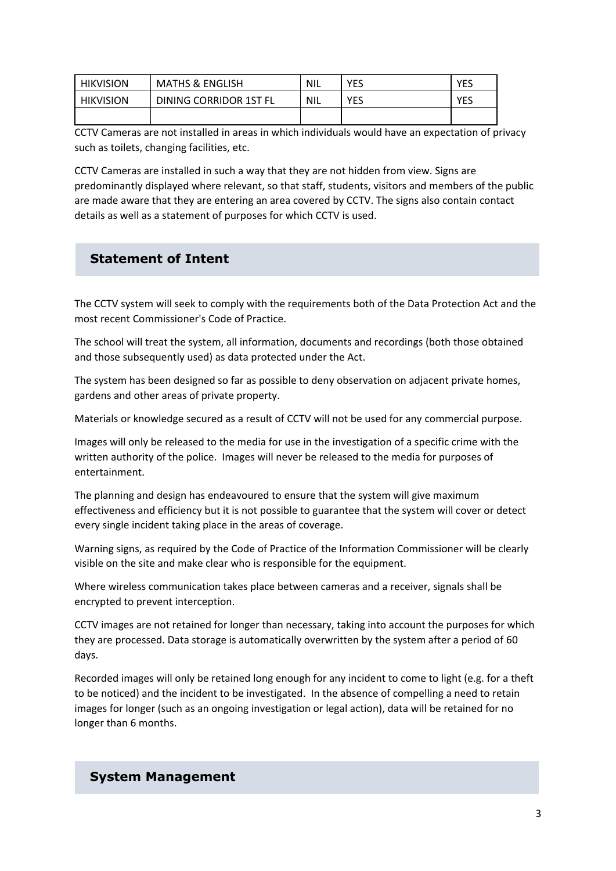| <b>HIKVISION</b> | <b>MATHS &amp; ENGLISH</b> | <b>NIL</b> | YES | YES |
|------------------|----------------------------|------------|-----|-----|
| <b>HIKVISION</b> | DINING CORRIDOR 1ST FL     | NIL        | YES | YES |
|                  |                            |            |     |     |

CCTV Cameras are not installed in areas in which individuals would have an expectation of privacy such as toilets, changing facilities, etc.

CCTV Cameras are installed in such a way that they are not hidden from view. Signs are predominantly displayed where relevant, so that staff, students, visitors and members of the public are made aware that they are entering an area covered by CCTV. The signs also contain contact details as well as a statement of purposes for which CCTV is used.

### **Statement of Intent**

The CCTV system will seek to comply with the requirements both of the Data Protection Act and the most recent Commissioner's Code of Practice.

The school will treat the system, all information, documents and recordings (both those obtained and those subsequently used) as data protected under the Act.

The system has been designed so far as possible to deny observation on adjacent private homes, gardens and other areas of private property.

Materials or knowledge secured as a result of CCTV will not be used for any commercial purpose.

Images will only be released to the media for use in the investigation of a specific crime with the written authority of the police. Images will never be released to the media for purposes of entertainment.

The planning and design has endeavoured to ensure that the system will give maximum effectiveness and efficiency but it is not possible to guarantee that the system will cover or detect every single incident taking place in the areas of coverage.

Warning signs, as required by the Code of Practice of the Information Commissioner will be clearly visible on the site and make clear who is responsible for the equipment.

Where wireless communication takes place between cameras and a receiver, signals shall be encrypted to prevent interception.

CCTV images are not retained for longer than necessary, taking into account the purposes for which they are processed. Data storage is automatically overwritten by the system after a period of 60 days.

Recorded images will only be retained long enough for any incident to come to light (e.g. for a theft to be noticed) and the incident to be investigated. In the absence of compelling a need to retain images for longer (such as an ongoing investigation or legal action), data will be retained for no longer than 6 months.

### **System Management**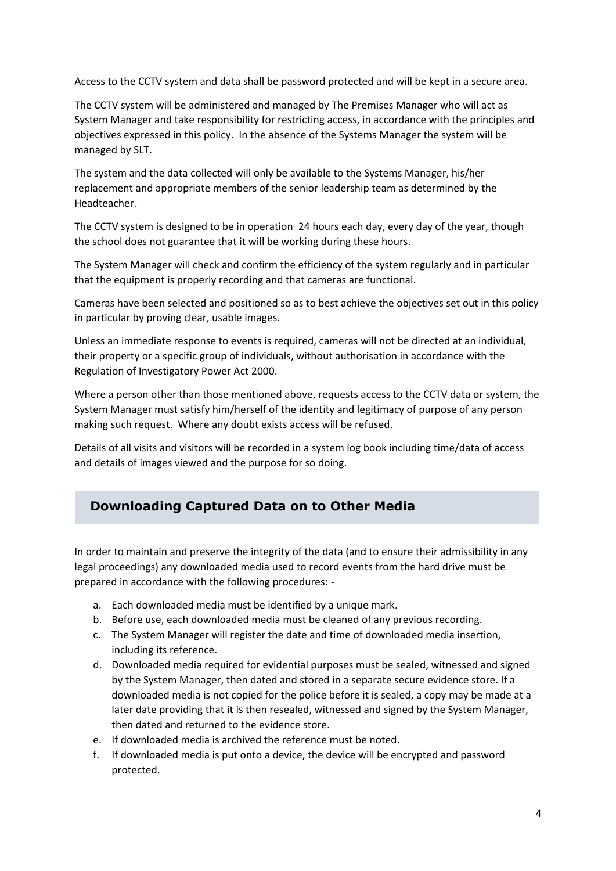Access to the CCTV system and data shall be password protected and will be kept in a secure area.

The CCTV system will be administered and managed by The Premises Manager who will act as System Manager and take responsibility for restricting access, in accordance with the principles and objectives expressed in this policy. In the absence of the Systems Manager the system will be managed by SLT.

The system and the data collected will only be available to the Systems Manager, his/her replacement and appropriate members of the senior leadership team as determined by the Headteacher.

The CCTV system is designed to be in operation 24 hours each day, every day of the year, though the school does not guarantee that it will be working during these hours.

The System Manager will check and confirm the efficiency of the system regularly and in particular that the equipment is properly recording and that cameras are functional.

Cameras have been selected and positioned so as to best achieve the objectives set out in this policy in particular by proving clear, usable images.

Unless an immediate response to events is required, cameras will not be directed at an individual, their property or a specific group of individuals, without authorisation in accordance with the Regulation of Investigatory Power Act 2000.

Where a person other than those mentioned above, requests access to the CCTV data or system, the System Manager must satisfy him/herself of the identity and legitimacy of purpose of any person making such request. Where any doubt exists access will be refused.

Details of all visits and visitors will be recorded in a system log book including time/data of access and details of images viewed and the purpose for so doing.

# **Downloading Captured Data on to Other Media**

In order to maintain and preserve the integrity of the data (and to ensure their admissibility in any legal proceedings) any downloaded media used to record events from the hard drive must be prepared in accordance with the following procedures: -

- a. Each downloaded media must be identified by a unique mark.
- b. Before use, each downloaded media must be cleaned of any previous recording.
- c. The System Manager will register the date and time of downloaded media insertion, including its reference.
- d. Downloaded media required for evidential purposes must be sealed, witnessed and signed by the System Manager, then dated and stored in a separate secure evidence store. If a downloaded media is not copied for the police before it is sealed, a copy may be made at a later date providing that it is then resealed, witnessed and signed by the System Manager, then dated and returned to the evidence store.
- e. If downloaded media is archived the reference must be noted.
- f. If downloaded media is put onto a device, the device will be encrypted and password protected.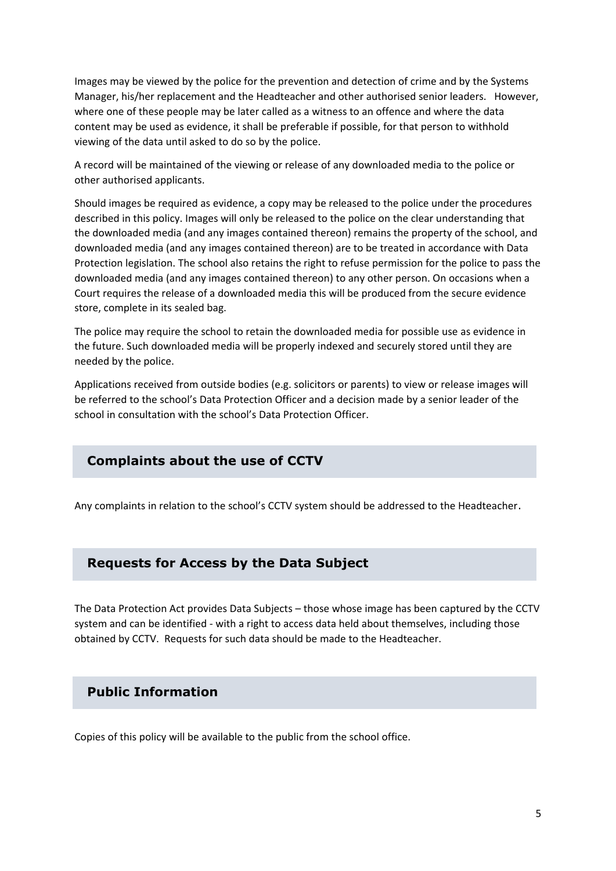Images may be viewed by the police for the prevention and detection of crime and by the Systems Manager, his/her replacement and the Headteacher and other authorised senior leaders. However, where one of these people may be later called as a witness to an offence and where the data content may be used as evidence, it shall be preferable if possible, for that person to withhold viewing of the data until asked to do so by the police.

A record will be maintained of the viewing or release of any downloaded media to the police or other authorised applicants.

Should images be required as evidence, a copy may be released to the police under the procedures described in this policy. Images will only be released to the police on the clear understanding that the downloaded media (and any images contained thereon) remains the property of the school, and downloaded media (and any images contained thereon) are to be treated in accordance with Data Protection legislation. The school also retains the right to refuse permission for the police to pass the downloaded media (and any images contained thereon) to any other person. On occasions when a Court requires the release of a downloaded media this will be produced from the secure evidence store, complete in its sealed bag.

The police may require the school to retain the downloaded media for possible use as evidence in the future. Such downloaded media will be properly indexed and securely stored until they are needed by the police.

Applications received from outside bodies (e.g. solicitors or parents) to view or release images will be referred to the school's Data Protection Officer and a decision made by a senior leader of the school in consultation with the school's Data Protection Officer.

### **Complaints about the use of CCTV**

Any complaints in relation to the school's CCTV system should be addressed to the Headteacher.

#### **Requests for Access by the Data Subject**

The Data Protection Act provides Data Subjects – those whose image has been captured by the CCTV system and can be identified - with a right to access data held about themselves, including those obtained by CCTV. Requests for such data should be made to the Headteacher.

#### **Public Information**

Copies of this policy will be available to the public from the school office.